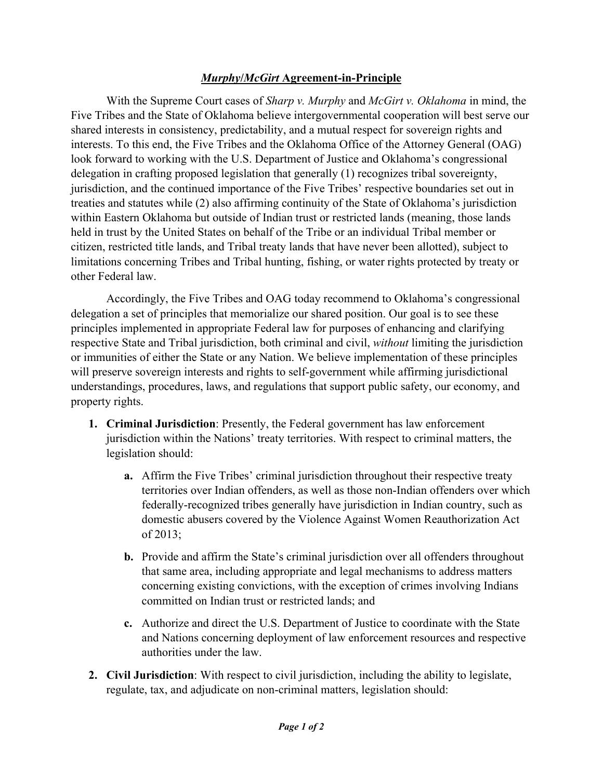## *Murphy***/***McGirt* **Agreement-in-Principle**

 With the Supreme Court cases of *Sharp v. Murphy* and *McGirt v. Oklahoma* in mind, the Five Tribes and the State of Oklahoma believe intergovernmental cooperation will best serve our shared interests in consistency, predictability, and a mutual respect for sovereign rights and interests. To this end, the Five Tribes and the Oklahoma Office of the Attorney General (OAG) look forward to working with the U.S. Department of Justice and Oklahoma's congressional delegation in crafting proposed legislation that generally (1) recognizes tribal sovereignty, jurisdiction, and the continued importance of the Five Tribes' respective boundaries set out in treaties and statutes while (2) also affirming continuity of the State of Oklahoma's jurisdiction within Eastern Oklahoma but outside of Indian trust or restricted lands (meaning, those lands held in trust by the United States on behalf of the Tribe or an individual Tribal member or citizen, restricted title lands, and Tribal treaty lands that have never been allotted), subject to limitations concerning Tribes and Tribal hunting, fishing, or water rights protected by treaty or other Federal law.

 Accordingly, the Five Tribes and OAG today recommend to Oklahoma's congressional delegation a set of principles that memorialize our shared position. Our goal is to see these principles implemented in appropriate Federal law for purposes of enhancing and clarifying respective State and Tribal jurisdiction, both criminal and civil, *without* limiting the jurisdiction or immunities of either the State or any Nation. We believe implementation of these principles will preserve sovereign interests and rights to self-government while affirming jurisdictional understandings, procedures, laws, and regulations that support public safety, our economy, and property rights.

- **1. Criminal Jurisdiction**: Presently, the Federal government has law enforcement jurisdiction within the Nations' treaty territories. With respect to criminal matters, the legislation should:
	- **a.** Affirm the Five Tribes' criminal jurisdiction throughout their respective treaty territories over Indian offenders, as well as those non-Indian offenders over which federally-recognized tribes generally have jurisdiction in Indian country, such as domestic abusers covered by the Violence Against Women Reauthorization Act of 2013;
	- **b.** Provide and affirm the State's criminal jurisdiction over all offenders throughout that same area, including appropriate and legal mechanisms to address matters concerning existing convictions, with the exception of crimes involving Indians committed on Indian trust or restricted lands; and
	- **c.** Authorize and direct the U.S. Department of Justice to coordinate with the State and Nations concerning deployment of law enforcement resources and respective authorities under the law.
- **2. Civil Jurisdiction**: With respect to civil jurisdiction, including the ability to legislate, regulate, tax, and adjudicate on non-criminal matters, legislation should: